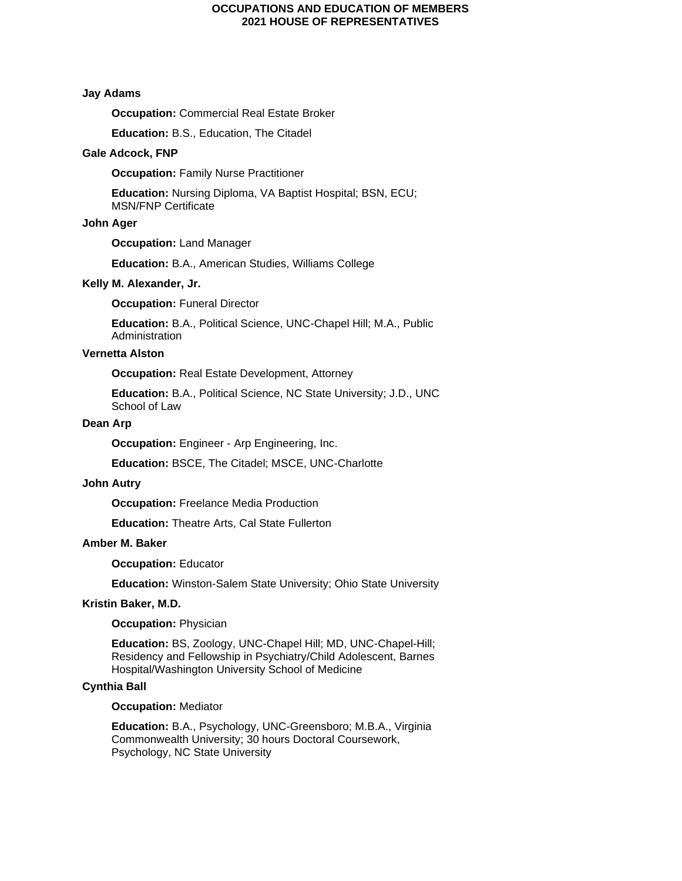# **Jay Adams**

**Occupation:** Commercial Real Estate Broker

**Education:** B.S., Education, The Citadel

# **Gale Adcock, FNP**

**Occupation: Family Nurse Practitioner** 

**Education:** Nursing Diploma, VA Baptist Hospital; BSN, ECU; MSN/FNP Certificate

#### **John Ager**

**Occupation:** Land Manager

**Education:** B.A., American Studies, Williams College

### **Kelly M. Alexander, Jr.**

**Occupation: Funeral Director** 

**Education:** B.A., Political Science, UNC-Chapel Hill; M.A., Public Administration

# **Vernetta Alston**

**Occupation:** Real Estate Development, Attorney

**Education:** B.A., Political Science, NC State University; J.D., UNC School of Law

# **Dean Arp**

**Occupation:** Engineer - Arp Engineering, Inc.

**Education:** BSCE, The Citadel; MSCE, UNC-Charlotte

# **John Autry**

**Occupation: Freelance Media Production** 

**Education:** Theatre Arts, Cal State Fullerton

## **Amber M. Baker**

**Occupation:** Educator

**Education:** Winston-Salem State University; Ohio State University

# **Kristin Baker, M.D.**

# **Occupation:** Physician

**Education:** BS, Zoology, UNC-Chapel Hill; MD, UNC-Chapel-Hill; Residency and Fellowship in Psychiatry/Child Adolescent, Barnes Hospital/Washington University School of Medicine

# **Cynthia Ball**

### **Occupation:** Mediator

**Education:** B.A., Psychology, UNC-Greensboro; M.B.A., Virginia Commonwealth University; 30 hours Doctoral Coursework, Psychology, NC State University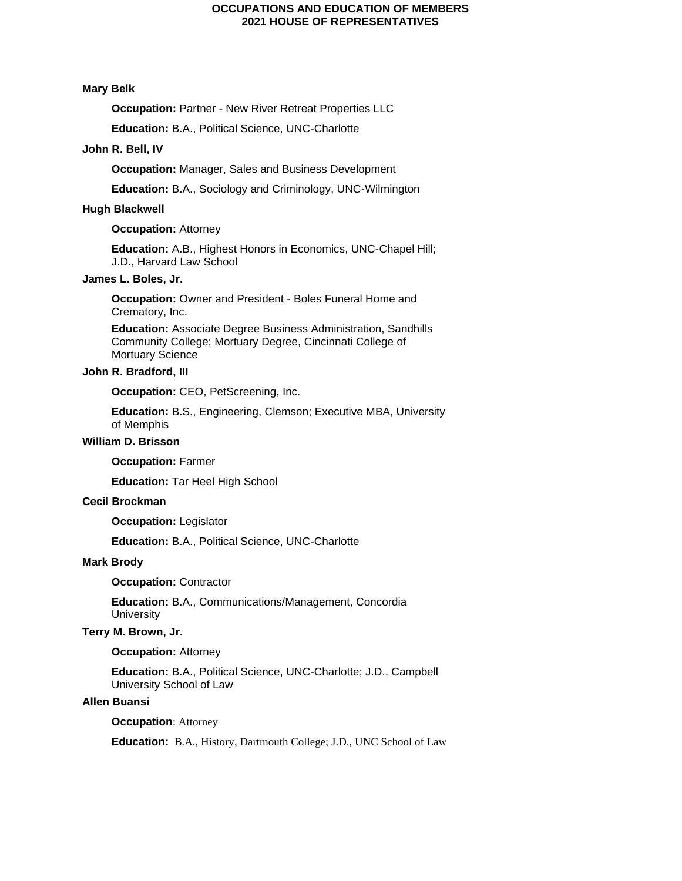# **Mary Belk**

**Occupation: Partner - New River Retreat Properties LLC** 

**Education:** B.A., Political Science, UNC-Charlotte

# **John R. Bell, IV**

**Occupation:** Manager, Sales and Business Development

**Education:** B.A., Sociology and Criminology, UNC-Wilmington

# **Hugh Blackwell**

#### **Occupation: Attorney**

**Education:** A.B., Highest Honors in Economics, UNC-Chapel Hill; J.D., Harvard Law School

# **James L. Boles, Jr.**

**Occupation:** Owner and President - Boles Funeral Home and Crematory, Inc.

**Education:** Associate Degree Business Administration, Sandhills Community College; Mortuary Degree, Cincinnati College of Mortuary Science

# **John R. Bradford, III**

**Occupation: CEO, PetScreening, Inc.** 

**Education:** B.S., Engineering, Clemson; Executive MBA, University of Memphis

# **William D. Brisson**

**Occupation:** Farmer

**Education:** Tar Heel High School

# **Cecil Brockman**

**Occupation:** Legislator

**Education:** B.A., Political Science, UNC-Charlotte

#### **Mark Brody**

**Occupation:** Contractor

**Education:** B.A., Communications/Management, Concordia **University** 

#### **Terry M. Brown, Jr.**

#### **Occupation: Attorney**

**Education:** B.A., Political Science, UNC-Charlotte; J.D., Campbell University School of Law

# **Allen Buansi**

**Occupation**: Attorney

**Education:** B.A., History, Dartmouth College; J.D., UNC School of Law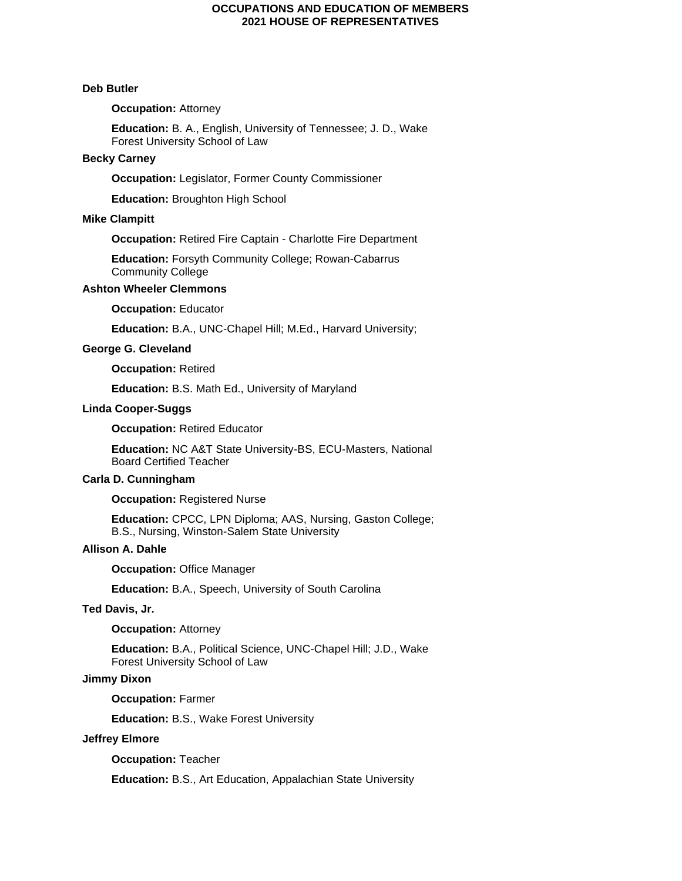#### **Deb Butler**

# **Occupation: Attorney**

**Education:** B. A., English, University of Tennessee; J. D., Wake Forest University School of Law

#### **Becky Carney**

**Occupation:** Legislator, Former County Commissioner

**Education:** Broughton High School

## **Mike Clampitt**

**Occupation:** Retired Fire Captain - Charlotte Fire Department

**Education:** Forsyth Community College; Rowan-Cabarrus Community College

#### **Ashton Wheeler Clemmons**

**Occupation:** Educator

**Education:** B.A., UNC-Chapel Hill; M.Ed., Harvard University;

### **George G. Cleveland**

**Occupation:** Retired

**Education:** B.S. Math Ed., University of Maryland

# **Linda Cooper-Suggs**

**Occupation:** Retired Educator

**Education:** NC A&T State University-BS, ECU-Masters, National Board Certified Teacher

# **Carla D. Cunningham**

**Occupation: Registered Nurse** 

**Education:** CPCC, LPN Diploma; AAS, Nursing, Gaston College; B.S., Nursing, Winston-Salem State University

# **Allison A. Dahle**

**Occupation:** Office Manager

**Education:** B.A., Speech, University of South Carolina

### **Ted Davis, Jr.**

#### **Occupation:** Attorney

**Education:** B.A., Political Science, UNC-Chapel Hill; J.D., Wake Forest University School of Law

# **Jimmy Dixon**

**Occupation:** Farmer

**Education:** B.S., Wake Forest University

# **Jeffrey Elmore**

**Occupation:** Teacher

**Education:** B.S., Art Education, Appalachian State University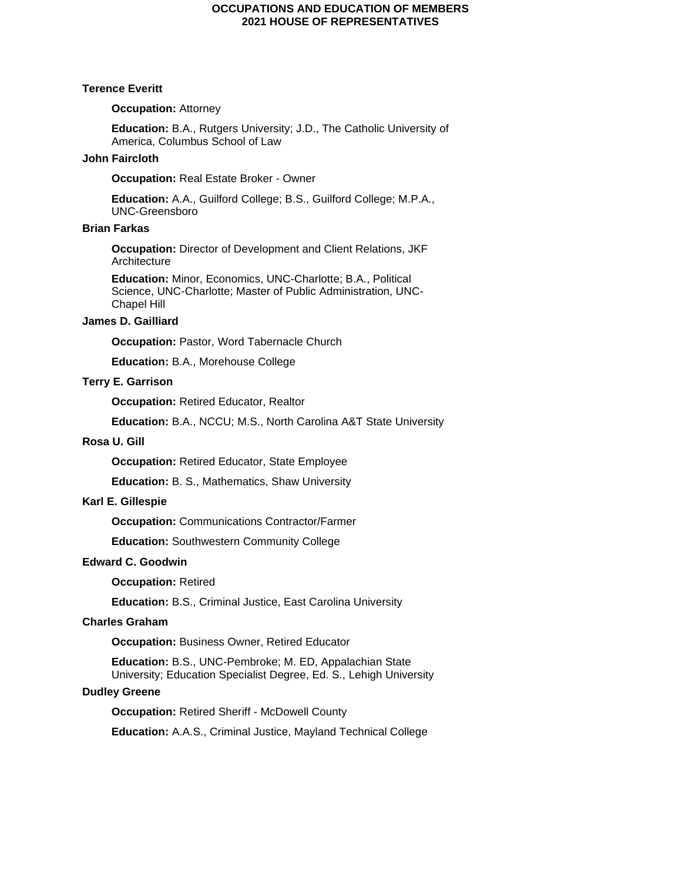#### **Terence Everitt**

## **Occupation: Attorney**

**Education:** B.A., Rutgers University; J.D., The Catholic University of America, Columbus School of Law

# **John Faircloth**

**Occupation:** Real Estate Broker - Owner

**Education:** A.A., Guilford College; B.S., Guilford College; M.P.A., UNC-Greensboro

# **Brian Farkas**

**Occupation:** Director of Development and Client Relations, JKF **Architecture** 

**Education:** Minor, Economics, UNC-Charlotte; B.A., Political Science, UNC-Charlotte; Master of Public Administration, UNC-Chapel Hill

# **James D. Gailliard**

**Occupation: Pastor, Word Tabernacle Church** 

**Education:** B.A., Morehouse College

# **Terry E. Garrison**

**Occupation: Retired Educator, Realtor** 

**Education:** B.A., NCCU; M.S., North Carolina A&T State University

# **Rosa U. Gill**

**Occupation:** Retired Educator, State Employee

**Education:** B. S., Mathematics, Shaw University

## **Karl E. Gillespie**

**Occupation:** Communications Contractor/Farmer

**Education:** Southwestern Community College

# **Edward C. Goodwin**

**Occupation:** Retired

**Education:** B.S., Criminal Justice, East Carolina University

# **Charles Graham**

**Occupation:** Business Owner, Retired Educator

**Education:** B.S., UNC-Pembroke; M. ED, Appalachian State University; Education Specialist Degree, Ed. S., Lehigh University

# **Dudley Greene**

**Occupation:** Retired Sheriff - McDowell County

**Education:** A.A.S., Criminal Justice, Mayland Technical College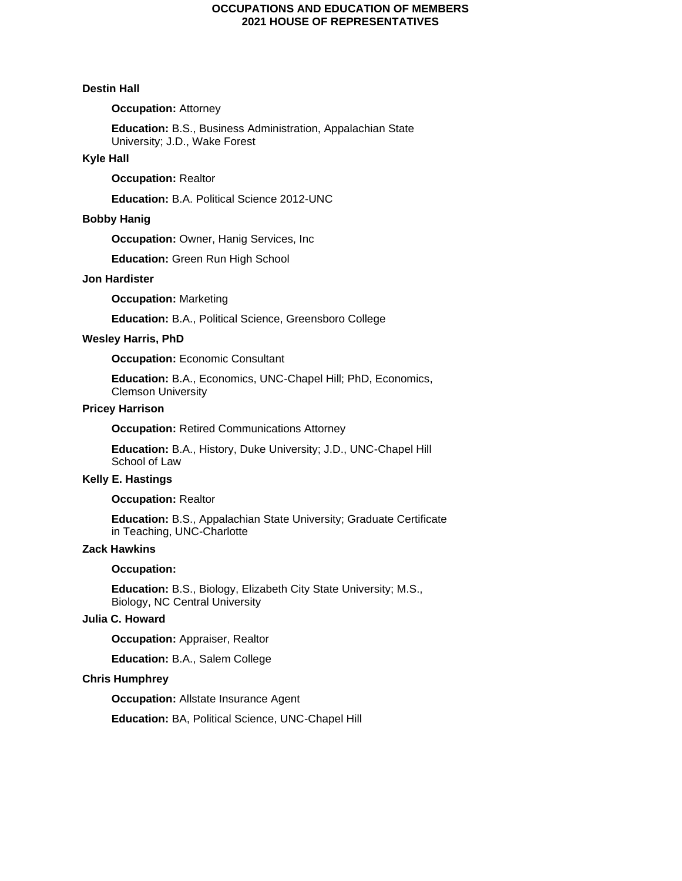#### **Destin Hall**

# **Occupation: Attorney**

**Education:** B.S., Business Administration, Appalachian State University; J.D., Wake Forest

# **Kyle Hall**

### **Occupation:** Realtor

**Education:** B.A. Political Science 2012-UNC

# **Bobby Hanig**

**Occupation: Owner, Hanig Services, Inc.** 

**Education:** Green Run High School

### **Jon Hardister**

**Occupation:** Marketing

**Education:** B.A., Political Science, Greensboro College

# **Wesley Harris, PhD**

**Occupation:** Economic Consultant

**Education:** B.A., Economics, UNC-Chapel Hill; PhD, Economics, Clemson University

# **Pricey Harrison**

**Occupation:** Retired Communications Attorney

**Education:** B.A., History, Duke University; J.D., UNC-Chapel Hill School of Law

# **Kelly E. Hastings**

### **Occupation:** Realtor

**Education:** B.S., Appalachian State University; Graduate Certificate in Teaching, UNC-Charlotte

#### **Zack Hawkins**

# **Occupation:**

**Education:** B.S., Biology, Elizabeth City State University; M.S., Biology, NC Central University

# **Julia C. Howard**

**Occupation:** Appraiser, Realtor

**Education:** B.A., Salem College

#### **Chris Humphrey**

**Occupation: Allstate Insurance Agent** 

**Education:** BA, Political Science, UNC-Chapel Hill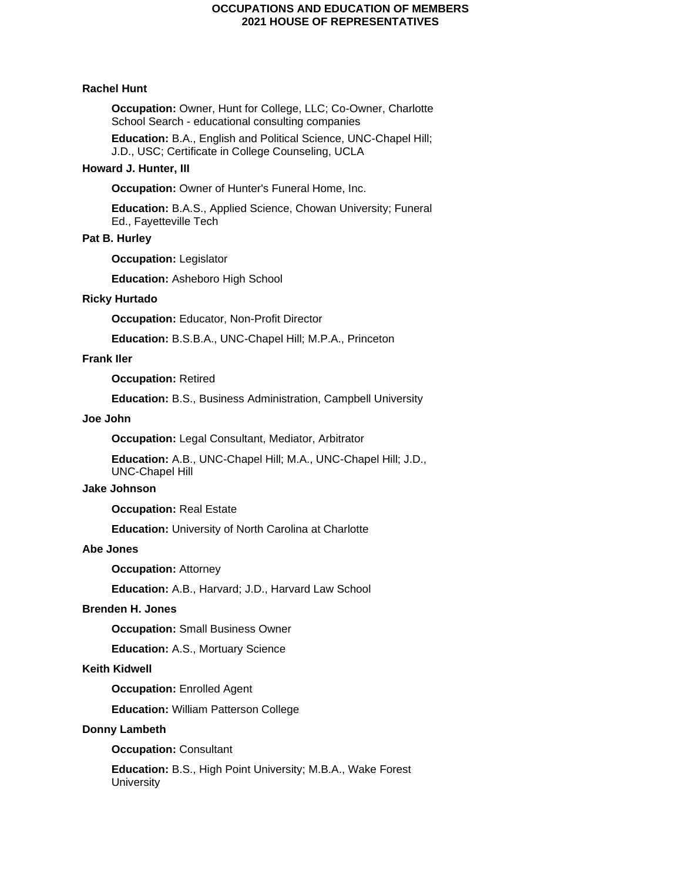# **Rachel Hunt**

**Occupation:** Owner, Hunt for College, LLC; Co-Owner, Charlotte School Search - educational consulting companies

**Education:** B.A., English and Political Science, UNC-Chapel Hill; J.D., USC; Certificate in College Counseling, UCLA

# **Howard J. Hunter, III**

**Occupation:** Owner of Hunter's Funeral Home, Inc.

**Education:** B.A.S., Applied Science, Chowan University; Funeral Ed., Fayetteville Tech

# **Pat B. Hurley**

**Occupation:** Legislator

**Education:** Asheboro High School

### **Ricky Hurtado**

**Occupation:** Educator, Non-Profit Director

**Education:** B.S.B.A., UNC-Chapel Hill; M.P.A., Princeton

# **Frank Iler**

**Occupation:** Retired

**Education:** B.S., Business Administration, Campbell University

## **Joe John**

**Occupation:** Legal Consultant, Mediator, Arbitrator

**Education:** A.B., UNC-Chapel Hill; M.A., UNC-Chapel Hill; J.D., UNC-Chapel Hill

# **Jake Johnson**

**Occupation:** Real Estate

**Education:** University of North Carolina at Charlotte

# **Abe Jones**

**Occupation:** Attorney

**Education:** A.B., Harvard; J.D., Harvard Law School

# **Brenden H. Jones**

**Occupation:** Small Business Owner

**Education:** A.S., Mortuary Science

# **Keith Kidwell**

**Occupation: Enrolled Agent** 

**Education:** William Patterson College

# **Donny Lambeth**

**Occupation:** Consultant

**Education:** B.S., High Point University; M.B.A., Wake Forest **University**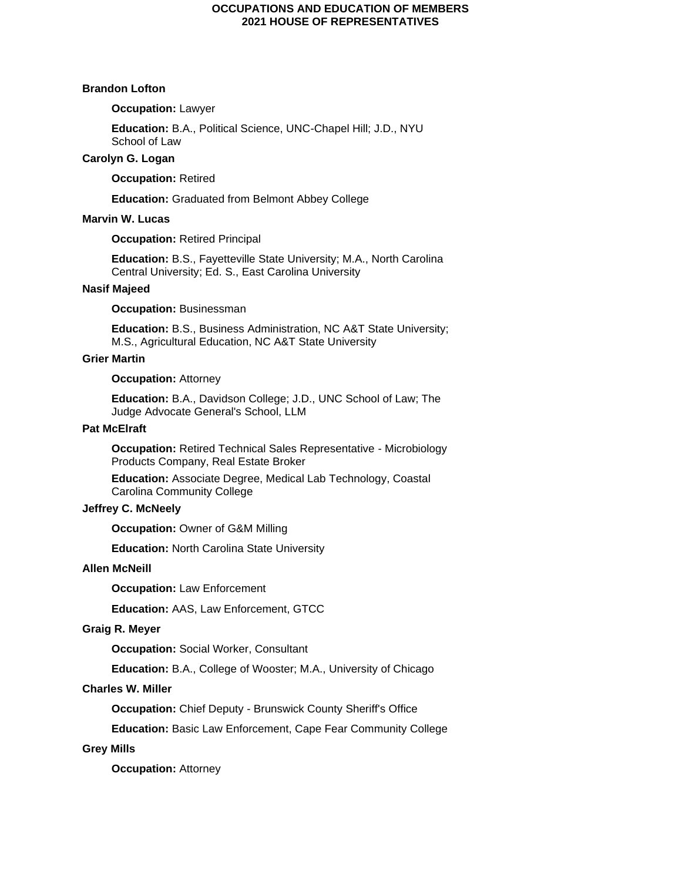#### **Brandon Lofton**

# **Occupation:** Lawyer

**Education:** B.A., Political Science, UNC-Chapel Hill; J.D., NYU School of Law

# **Carolyn G. Logan**

**Occupation:** Retired

**Education:** Graduated from Belmont Abbey College

# **Marvin W. Lucas**

**Occupation:** Retired Principal

**Education:** B.S., Fayetteville State University; M.A., North Carolina Central University; Ed. S., East Carolina University

# **Nasif Majeed**

**Occupation:** Businessman

**Education:** B.S., Business Administration, NC A&T State University; M.S., Agricultural Education, NC A&T State University

# **Grier Martin**

**Occupation: Attorney** 

**Education:** B.A., Davidson College; J.D., UNC School of Law; The Judge Advocate General's School, LLM

# **Pat McElraft**

**Occupation:** Retired Technical Sales Representative - Microbiology Products Company, Real Estate Broker

**Education:** Associate Degree, Medical Lab Technology, Coastal Carolina Community College

# **Jeffrey C. McNeely**

**Occupation: Owner of G&M Milling** 

**Education:** North Carolina State University

# **Allen McNeill**

**Occupation:** Law Enforcement

**Education:** AAS, Law Enforcement, GTCC

#### **Graig R. Meyer**

**Occupation:** Social Worker, Consultant

**Education:** B.A., College of Wooster; M.A., University of Chicago

# **Charles W. Miller**

**Occupation:** Chief Deputy - Brunswick County Sheriff's Office

**Education:** Basic Law Enforcement, Cape Fear Community College

# **Grey Mills**

**Occupation: Attorney**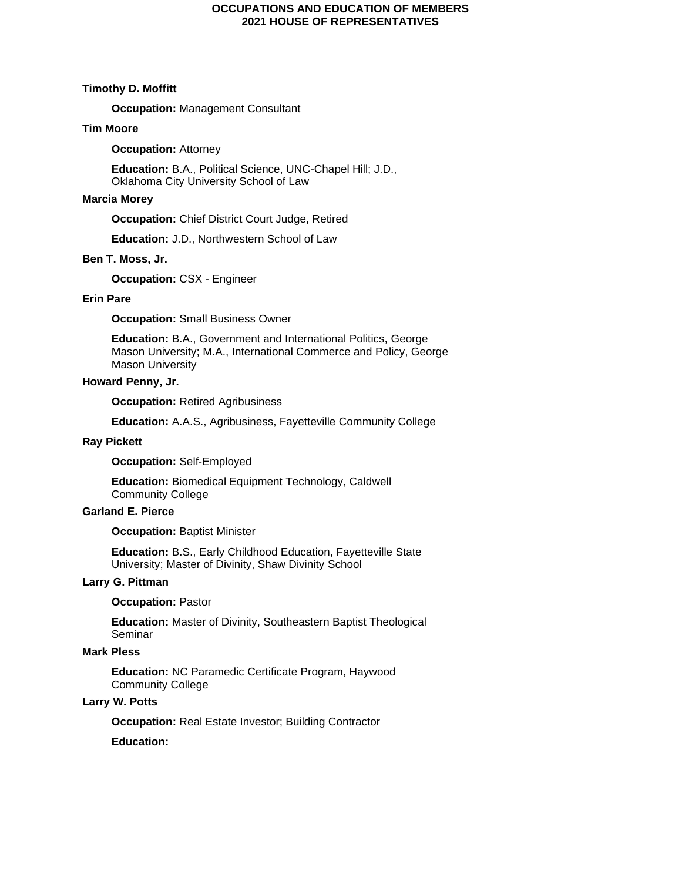#### **Timothy D. Moffitt**

**Occupation:** Management Consultant

# **Tim Moore**

**Occupation: Attorney** 

**Education:** B.A., Political Science, UNC-Chapel Hill; J.D., Oklahoma City University School of Law

# **Marcia Morey**

**Occupation:** Chief District Court Judge, Retired

**Education:** J.D., Northwestern School of Law

### **Ben T. Moss, Jr.**

**Occupation:** CSX - Engineer

# **Erin Pare**

**Occupation:** Small Business Owner

**Education:** B.A., Government and International Politics, George Mason University; M.A., International Commerce and Policy, George Mason University

# **Howard Penny, Jr.**

**Occupation: Retired Agribusiness** 

**Education:** A.A.S., Agribusiness, Fayetteville Community College

#### **Ray Pickett**

**Occupation:** Self-Employed

**Education:** Biomedical Equipment Technology, Caldwell Community College

# **Garland E. Pierce**

**Occupation: Baptist Minister** 

**Education:** B.S., Early Childhood Education, Fayetteville State University; Master of Divinity, Shaw Divinity School

# **Larry G. Pittman**

**Occupation:** Pastor

**Education:** Master of Divinity, Southeastern Baptist Theological Seminar

### **Mark Pless**

**Education:** NC Paramedic Certificate Program, Haywood Community College

# **Larry W. Potts**

**Occupation:** Real Estate Investor; Building Contractor

# **Education:**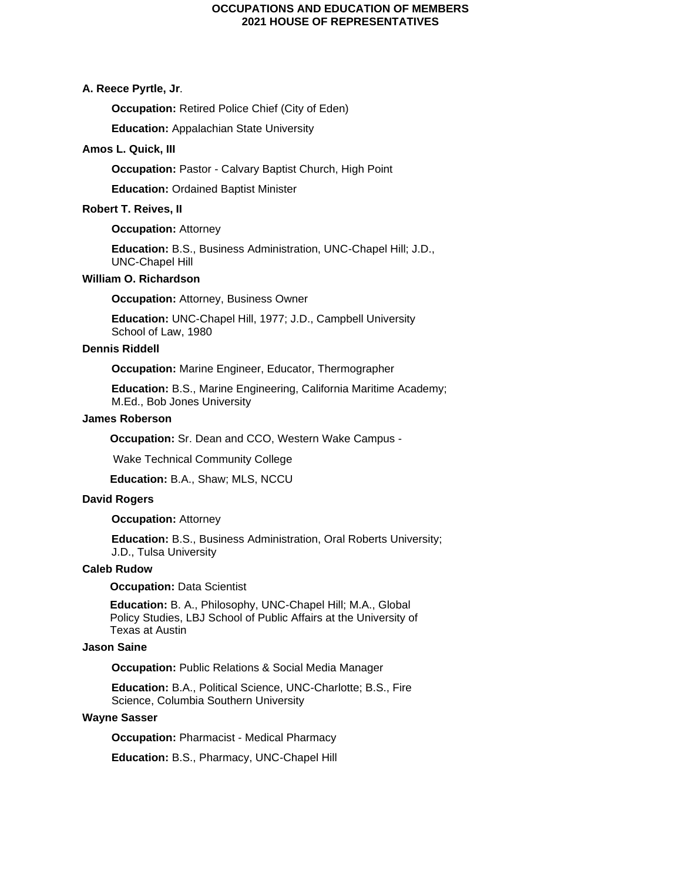# **A. Reece Pyrtle, Jr**.

**Occupation:** Retired Police Chief (City of Eden)

**Education:** Appalachian State University

## **Amos L. Quick, III**

**Occupation:** Pastor - Calvary Baptist Church, High Point

**Education:** Ordained Baptist Minister

# **Robert T. Reives, II**

#### **Occupation: Attorney**

**Education:** B.S., Business Administration, UNC-Chapel Hill; J.D., UNC-Chapel Hill

# **William O. Richardson**

**Occupation: Attorney, Business Owner** 

**Education:** UNC-Chapel Hill, 1977; J.D., Campbell University School of Law, 1980

# **Dennis Riddell**

**Occupation:** Marine Engineer, Educator, Thermographer

**Education:** B.S., Marine Engineering, California Maritime Academy; M.Ed., Bob Jones University

# **James Roberson**

 **Occupation:** Sr. Dean and CCO, Western Wake Campus -

Wake Technical Community College

 **Education:** B.A., Shaw; MLS, NCCU

#### **David Rogers**

# **Occupation: Attorney**

**Education:** B.S., Business Administration, Oral Roberts University; J.D., Tulsa University

### **Caleb Rudow**

# **Occupation: Data Scientist**

 **Education:** B. A., Philosophy, UNC-Chapel Hill; M.A., Global Policy Studies, LBJ School of Public Affairs at the University of Texas at Austin

# **Jason Saine**

**Occupation:** Public Relations & Social Media Manager

**Education:** B.A., Political Science, UNC-Charlotte; B.S., Fire Science, Columbia Southern University

### **Wayne Sasser**

**Occupation:** Pharmacist - Medical Pharmacy

**Education:** B.S., Pharmacy, UNC-Chapel Hill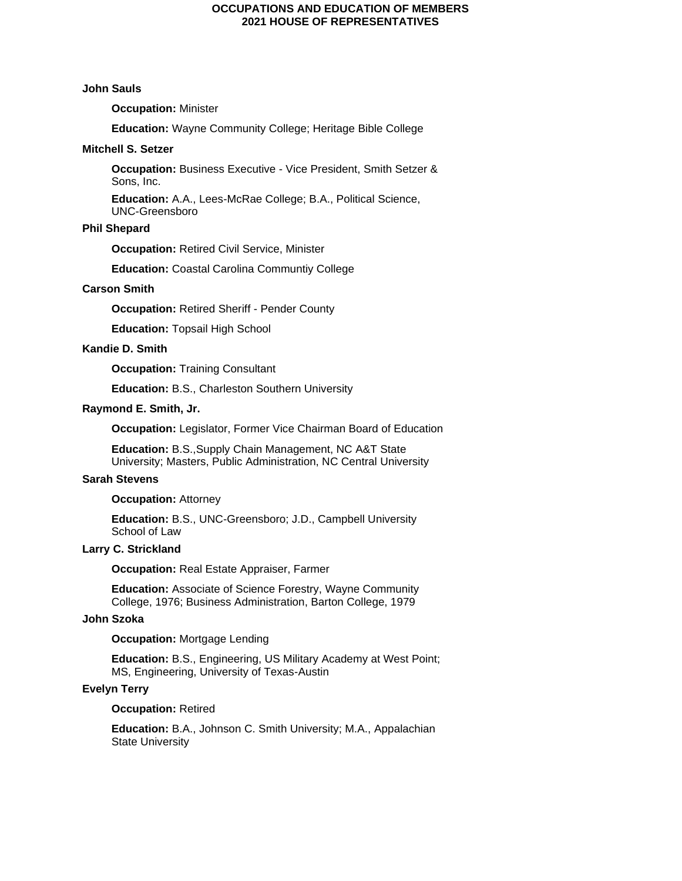### **John Sauls**

# **Occupation:** Minister

**Education:** Wayne Community College; Heritage Bible College

#### **Mitchell S. Setzer**

**Occupation:** Business Executive - Vice President, Smith Setzer & Sons, Inc.

**Education:** A.A., Lees-McRae College; B.A., Political Science, UNC-Greensboro

# **Phil Shepard**

**Occupation:** Retired Civil Service, Minister

**Education:** Coastal Carolina Communtiy College

# **Carson Smith**

**Occupation:** Retired Sheriff - Pender County

**Education:** Topsail High School

# **Kandie D. Smith**

**Occupation:** Training Consultant

**Education:** B.S., Charleston Southern University

# **Raymond E. Smith, Jr.**

**Occupation:** Legislator, Former Vice Chairman Board of Education

**Education:** B.S.,Supply Chain Management, NC A&T State University; Masters, Public Administration, NC Central University

# **Sarah Stevens**

#### **Occupation: Attorney**

**Education:** B.S., UNC-Greensboro; J.D., Campbell University School of Law

# **Larry C. Strickland**

**Occupation:** Real Estate Appraiser, Farmer

**Education:** Associate of Science Forestry, Wayne Community College, 1976; Business Administration, Barton College, 1979

# **John Szoka**

# **Occupation: Mortgage Lending**

**Education:** B.S., Engineering, US Military Academy at West Point; MS, Engineering, University of Texas-Austin

# **Evelyn Terry**

## **Occupation:** Retired

**Education:** B.A., Johnson C. Smith University; M.A., Appalachian State University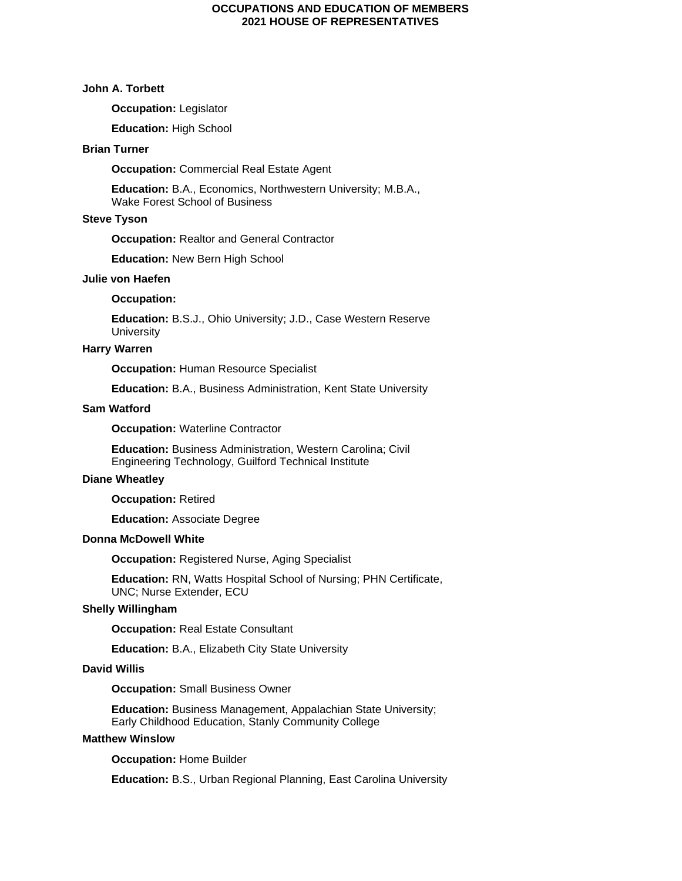# **John A. Torbett**

**Occupation:** Legislator

**Education:** High School

# **Brian Turner**

**Occupation:** Commercial Real Estate Agent

**Education:** B.A., Economics, Northwestern University; M.B.A., Wake Forest School of Business

# **Steve Tyson**

**Occupation:** Realtor and General Contractor

**Education:** New Bern High School

#### **Julie von Haefen**

# **Occupation:**

**Education:** B.S.J., Ohio University; J.D., Case Western Reserve **University** 

# **Harry Warren**

**Occupation: Human Resource Specialist** 

**Education:** B.A., Business Administration, Kent State University

#### **Sam Watford**

**Occupation:** Waterline Contractor

**Education:** Business Administration, Western Carolina; Civil Engineering Technology, Guilford Technical Institute

# **Diane Wheatley**

**Occupation:** Retired

**Education:** Associate Degree

# **Donna McDowell White**

**Occupation:** Registered Nurse, Aging Specialist

**Education:** RN, Watts Hospital School of Nursing; PHN Certificate, UNC; Nurse Extender, ECU

### **Shelly Willingham**

**Occupation: Real Estate Consultant** 

**Education:** B.A., Elizabeth City State University

#### **David Willis**

**Occupation:** Small Business Owner

**Education:** Business Management, Appalachian State University; Early Childhood Education, Stanly Community College

# **Matthew Winslow**

**Occupation:** Home Builder

**Education:** B.S., Urban Regional Planning, East Carolina University